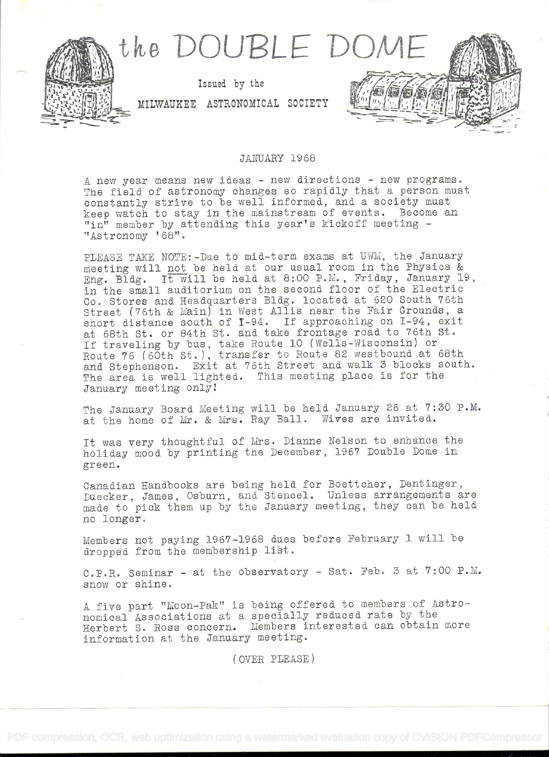

## JANUARY 1968

A new year means new ideas - new directions - new programs. The field of astronomy changes so rapidly that a person must constantly strive to be well informed, and a society must keep watch to stay in the mainstream of events. Become an  $\mathbf{v}_1$  member by attending this year's kickoff meeting  $-$ "Astronomy '68".

PLEASE TAKE NOTE:-Due to mid-term exams at UWM, the January meeting will not be held at our usual room in the Physics & Eng. Bldg. It will be held at 8:00 P.M., Friday, January 19, in the small auditorium on the second floor of the Electric Co. Stores and Headquarters Bldg. located at 620 South 76th Street (76th & Main) in West Allis near the Fair Grounds, a short distance south of T-94. If approaching on I-94, exit at 68th St. or 84th St. and take frontage road to 76th St. If traveling by bus, take Route 10 (Wells-Wisconsin) or Route 76 (60th St. ), transfer to Route 82 westbound at 68th and Stephenson. Exit at 76th Street and walk 3 blocks south. The area is well lighted. This meeting place is for the January meeting only!

The January Board Meeting will be held January 26 at 7:30 P.M. at the home of Mr. & Mrs. Ray Ball. Wives are invited.

It was very thoughtful of Mrs. Dianne Nelson to enhance the holiday mood by printing the December, 1967 Double Dome in green.

Canadian Handbooks are being held for Boettcher, Dentinger, Duecker, James, Osburn, and Stencel. Unless arrangements are made to pick them up by the January meeting, they can be held no longer.

Members not paying 1967-1968 dues before February 1 will be dropped from the membership list.

C.P.R. Seminar - at the observatory - Sat. Feb. 3 at 7:00 P.M. snow or shine.

A five part "Moon-Pak" is being offered to members of Astronomical Associations at a specially reduced rate by the Herbert S. Ross concern. Members interested can obtain more information at the January meeting.

(OVER PLEASE)